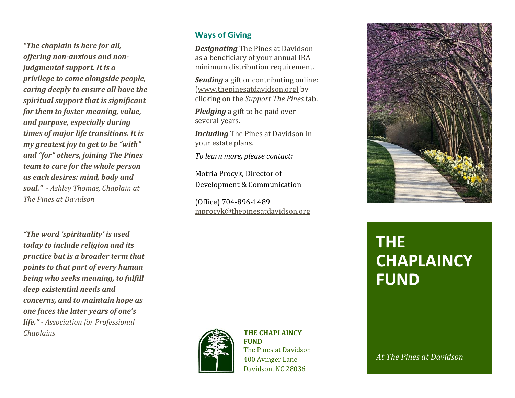*"The chaplain is here for all, offering non-anxious and nonjudgmental support. It is a privilege to come alongside people, caring deeply to ensure all have the spiritual support that is significant for them to foster meaning, value, and purpose, especially during times of major life transitions. It is my greatest joy to get to be "with" and "for" others, joining The Pines team to care for the whole person as each desires: mind, body and soul." - Ashley Thomas, Chaplain at The Pines at Davidson*

*"The word 'spirituality' is used today to include religion and its practice but is a broader term that points to that part of every human being who seeks meaning, to fulfill deep existential needs and concerns, and to maintain hope as one faces the later years of one's life." - Association for Professional Chaplains*

### **Ways of Giving**

*Designating* The Pines at Davidson as a beneficiary of your annual IRA minimum distribution requirement.

*Sending* a gift or contributing online: [\(www.thepinesatdavidson.org](http://www.thepinesatdavidson.org/)**)** by clicking on the *Support The Pines* tab.

*Pledging* a gift to be paid over several years.

*Including* The Pines at Davidson in your estate plans.

*To learn more, please contact:*

Motria Procyk, Director of Development & Communication

(Office) 704-896-1489 [mprocyk@thepinesatdavidson.org](mailto:mprocyk@thepinesatdavidson.org)



#### **THE CHAPLAINCY FUND**

The Pines at Davidson 400 Avinger Lane Davidson, NC 28036



# **THE CHAPLAINCY FUND**

*At The Pines at Davidson*